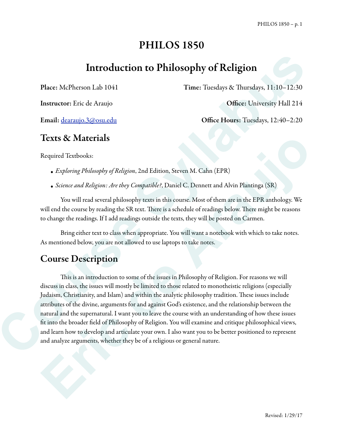# PHILOS 1850

# Introduction to Philosophy of Religion

Place: McPherson Lab 1041 Time: Tuesdays & Thursdays, 11:10-12:30

Instructor: Eric de Araujo Office: University Hall 214

Email: dearaujo.3@osu.edu Office Hours: Tuesdays, 12:40–2:20

## Texts & Materials

Required Textbooks:

- *• Exploring Philosophy of Religion*, 2nd Edition, Steven M. Cahn (EPR)
- *• Science and Religion: Are they Compatible?*, Daniel C. Dennett and Alvin Plantinga (SR)

 You will read several philosophy texts in this course. Most of them are in the EPR anthology. We will end the course by reading the SR text. There is a schedule of readings below. There might be reasons to change the readings. If I add readings outside the texts, they will be posted on Carmen.

 Bring either text to class when appropriate. You will want a notebook with which to take notes. As mentioned below, you are not allowed to use laptops to take notes.

# Course Description

This is an introduction to some of the issues in Philosophy of Religion. For reasons we will discuss in class, the issues will mostly be limited to those related to monotheistic religions (especially Judaism, Christianity, and Islam) and within the analytic philosophy tradition. These issues include attributes of the divine, arguments for and against God's existence, and the relationship between the natural and the supernatural. I want you to leave the course with an understanding of how these issues fit into the broader field of Philosophy of Religion. You will examine and critique philosophical views, and learn how to develop and articulate your own. I also want you to be better positioned to represent and analyze arguments, whether they be of a religious or general nature. **Course Course Course Course Course Course Course Syllapular**<br>
Context and the summer state decreases the state of the state of the state of the state of the state of the state of the state of the state of the state of the **Texts & Materials**<br> **Exploring Philosophy of Religion**, 2nd Edition, Steven M. Cahn (EPR)<br>
• *Science and Religions: Are they Gompatible?*, Daniel C. Dennett and Alvin Plantinga (SR)<br>
• *Notines and Religions: Are they Go*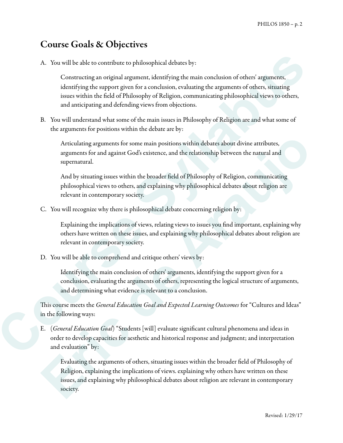## Course Goals & Objectives

A. You will be able to contribute to philosophical debates by:

Constructing an original argument, identifying the main conclusion of others' arguments, identifying the support given for a conclusion, evaluating the arguments of others, situating issues within the field of Philosophy of Religion, communicating philosophical views to others, and anticipating and defending views from objections. A. You will be able to contribute to philosophical debates by:<br>
Constructing an original segument, identifying the main conclusion of others' arguments;<br>
identifying the support given for a conclusion, communicating the<br>in

B. You will understand what some of the main issues in Philosophy of Religion are and what some of the arguments for positions within the debate are by:

Articulating arguments for some main positions within debates about divine attributes, arguments for and against God's existence, and the relationship between the natural and supernatural.

And by situating issues within the broader field of Philosophy of Religion, communicating philosophical views to others, and explaining why philosophical debates about religion are relevant in contemporary society.

C. You will recognize why there is philosophical debate concerning religion by:

Explaining the implications of views, relating views to issues you find important, explaining why others have written on these issues, and explaining why philosophical debates about religion are relevant in contemporary society.

D. You will be able to comprehend and critique others' views by:

Identifying the main conclusion of others' arguments, identifying the support given for a conclusion, evaluating the arguments of others, representing the logical structure of arguments, and determining what evidence is relevant to a conclusion.

Tis course meets the *General Education Goal and Expected Learning Outcomes* for "Cultures and Ideas" in the following ways:

E. (*General Education Goal*) "Students [will] evaluate significant cultural phenomena and ideas in order to develop capacities for aesthetic and historical response and judgment; and interpretation and evaluation" by:

Evaluating the arguments of others, situating issues within the broader field of Philosophy of Religion, explaining the implications of views. explaining why others have written on these issues, and explaining why philosophical debates about religion are relevant in contemporary society. Articulating arguments for some main positions within debates about divine attributes,<br>arguments for and against God's existence, and the relationship between the natural and<br>superarmural.<br>And by situating issues within th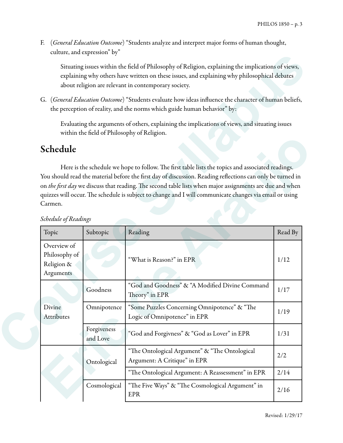F. (*General Education Outcome*) "Students analyze and interpret major forms of human thought, culture, and expression" by"

# Schedule

| $c$ unun $c$ , and $c$ <i>A</i> $p$ i $c$ ssion $v$     |                         |                                                                                                                                                                                                                                                            |                 |
|---------------------------------------------------------|-------------------------|------------------------------------------------------------------------------------------------------------------------------------------------------------------------------------------------------------------------------------------------------------|-----------------|
|                                                         |                         | Situating issues within the field of Philosophy of Religion, explaining the implications of views,<br>explaining why others have written on these issues, and explaining why philosophical debates<br>about religion are relevant in contemporary society. |                 |
|                                                         |                         | G. (General Education Outcome) "Students evaluate how ideas influence the character of human beliefs,<br>the perception of reality, and the norms which guide human behavior" by:                                                                          |                 |
|                                                         |                         | Evaluating the arguments of others, explaining the implications of views, and situating issues<br>within the field of Philosophy of Religion.                                                                                                              |                 |
| Schedule                                                |                         |                                                                                                                                                                                                                                                            |                 |
| Carmen.                                                 |                         | on the first day we discuss that reading. The second table lists when major assignments are due and when<br>quizzes will occur. The schedule is subject to change and I will communicate changes via email or using                                        |                 |
| Schedule of Readings                                    |                         |                                                                                                                                                                                                                                                            |                 |
| Topic                                                   | Subtopic                | Reading                                                                                                                                                                                                                                                    |                 |
| Overview of<br>Philosophy of<br>Religion &<br>Arguments |                         | "What is Reason?" in EPR                                                                                                                                                                                                                                   | 1/12            |
|                                                         | Goodness                | "God and Goodness" & "A Modified Divine Command<br>Theory" in EPR                                                                                                                                                                                          | 1/17            |
| Divine<br>Attributes                                    | Omnipotence             | "Some Puzzles Concerning Omnipotence" & "The<br>Logic of Omnipotence" in EPR                                                                                                                                                                               | 1/19            |
|                                                         | Forgiveness<br>and Love | "God and Forgivness" & "God as Lover" in EPR                                                                                                                                                                                                               | Read By<br>1/31 |
|                                                         | Ontological             | "The Ontological Argument" & "The Ontological<br>Argument: A Critique" in EPR                                                                                                                                                                              | 2/2             |
|                                                         |                         | "The Ontological Argument: A Reassessment" in EPR                                                                                                                                                                                                          | 2/14            |

### *Schedule of Readings*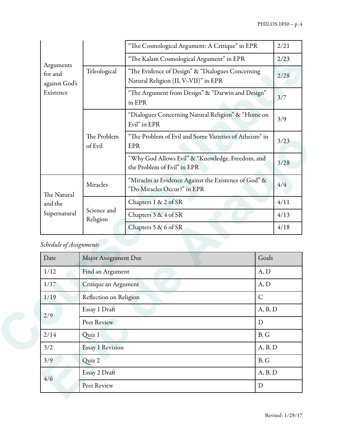| Arguments<br>for and<br>against God's<br>Existence |                                        | "The Cosmological Argument: A Critique" in EPR                                           |      |
|----------------------------------------------------|----------------------------------------|------------------------------------------------------------------------------------------|------|
|                                                    |                                        | "The Kalam Cosmological Argument" in EPR                                                 |      |
|                                                    | Teleological                           | "The Evidence of Design" & "Dialogues Concerning<br>Natural Religion (II, V-VII)" in EPR | 2/28 |
|                                                    |                                        | "The Argument from Design" & "Darwin and Design"<br>in EPR                               |      |
|                                                    | The Problem<br>of Evil                 | "Dialogues Concerning Natural Religion" & "Hume on<br>Evil" in EPR                       | 3/9  |
|                                                    |                                        | "The Problem of Evil and Some Varieties of Atheism" in<br>EPR                            |      |
|                                                    |                                        | "Why God Allows Evil" & "Knowledge, Freedom, and<br>the Problem of Evil" in EPR          |      |
| The Natural                                        | Miracles                               | "Miracles as Evidence Against the Existence of God" &<br>"Do Miracles Occur?" in EPR     |      |
| and the                                            | Science and<br>Religion                | Chapters 1 & 2 of SR                                                                     |      |
| Supernatural                                       |                                        | Chapters 3 & 4 of SR                                                                     |      |
|                                                    |                                        | Chapters 5 & 6 of SR                                                                     |      |
| Schedule of Assignments                            |                                        |                                                                                          |      |
| Date                                               | Major Assignment Due                   | Goals                                                                                    |      |
| 1/12                                               | A, D<br>Find an Argument               |                                                                                          |      |
| 1/17                                               | Critique an Argument<br>A, D           |                                                                                          |      |
| 1/19                                               | $\mathsf{C}$<br>Reflection on Religion |                                                                                          |      |
|                                                    | Essay 1 Draft<br>A, B, D               |                                                                                          |      |
| 2/9                                                | Peer Review<br>$\mathbf D$             |                                                                                          |      |
| 2/14                                               | B, G<br>Quiz 1                         |                                                                                          |      |
| 3/2                                                | <b>Essay 1 Revision</b><br>A, B, D     |                                                                                          |      |
|                                                    |                                        |                                                                                          |      |

# *Schedule of Assignments*

|                                     | The Problem<br>of Evil  | The Problem of Evil and Some Varieties of Atheism in<br>EPR                          | 3/23         |  |
|-------------------------------------|-------------------------|--------------------------------------------------------------------------------------|--------------|--|
|                                     |                         | "Why God Allows Evil" & "Knowledge, Freedom, and<br>the Problem of Evil" in EPR      | 3/28         |  |
| The Natural                         | Miracles                | "Miracles as Evidence Against the Existence of God" &<br>"Do Miracles Occur?" in EPR | 4/4          |  |
| and the<br>Supernatural             |                         | Chapters 1 & 2 of SR                                                                 | 4/11         |  |
|                                     | Science and<br>Religion | Chapters 3 & 4 of SR                                                                 | 4/13         |  |
|                                     |                         | Chapters 5 & 6 of SR                                                                 | 4/18         |  |
| Schedule of Assignments             |                         |                                                                                      |              |  |
| Date                                | Major Assignment Due    |                                                                                      | Goals        |  |
| 1/12                                | Find an Argument        |                                                                                      | A, D         |  |
| 1/17                                | Critique an Argument    |                                                                                      | A, D         |  |
| 1/19                                | Reflection on Religion  |                                                                                      | $\mathsf{C}$ |  |
| Essay 1 Draft<br>2/9<br>Peer Review |                         | A, B, D                                                                              |              |  |
|                                     |                         | D                                                                                    |              |  |
| 2/14                                | Quiz 1                  |                                                                                      | B, G         |  |
| 3/2                                 | <b>Essay 1 Revision</b> |                                                                                      | A, B, D      |  |
|                                     | Quiz 2                  |                                                                                      | B, G         |  |
| 3/9                                 |                         |                                                                                      |              |  |
| 4/6                                 | Essay 2 Draft           |                                                                                      | A, B, D      |  |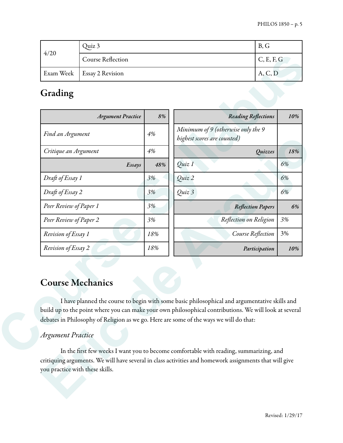| 4/20 | Quiz 3                       | B, G       |  |  |
|------|------------------------------|------------|--|--|
|      | <b>Course Reflection</b>     | C, E, F, G |  |  |
|      | Exam Week   Essay 2 Revision | A, C, D    |  |  |

# Grading

|                                                | <b>Argument Practice</b> | 8%  | <b>Reading Reflections</b>                                                                                                                                                                       | 10% |
|------------------------------------------------|--------------------------|-----|--------------------------------------------------------------------------------------------------------------------------------------------------------------------------------------------------|-----|
| Find an Argument                               |                          | 4%  | Minimum of 9 (otherwise only the 9<br>highest scores are counted)                                                                                                                                |     |
|                                                | Critique an Argument     |     | Quizzes                                                                                                                                                                                          | 18% |
|                                                | Essays                   | 48% | Quiz 1                                                                                                                                                                                           | 6%  |
|                                                | Draft of Essay 1         |     | Quiz 2                                                                                                                                                                                           | 6%  |
|                                                | Draft of Essay 2         |     | Quiz 3                                                                                                                                                                                           | 6%  |
|                                                | Peer Review of Paper 1   |     | <b>Reflection Papers</b>                                                                                                                                                                         | 6%  |
| Peer Review of Paper 2                         |                          | 3%  | Reflection on Religion                                                                                                                                                                           | 3%  |
| Revision of Essay 1                            |                          | 18% | Course Reflection                                                                                                                                                                                | 3%  |
|                                                |                          | 18% |                                                                                                                                                                                                  | 10% |
| Revision of Essay 2<br><b>Course Mechanics</b> |                          |     | Participation<br>I have planned the course to begin with some basic philosophical and argumentative skills and                                                                                   |     |
|                                                |                          |     |                                                                                                                                                                                                  |     |
|                                                |                          |     | build up to the point where you can make your own philosophical contributions. We will look at several<br>debates in Philosophy of Religion as we go. Here are some of the ways we will do that: |     |

## Course Mechanics

## *Argument Practice*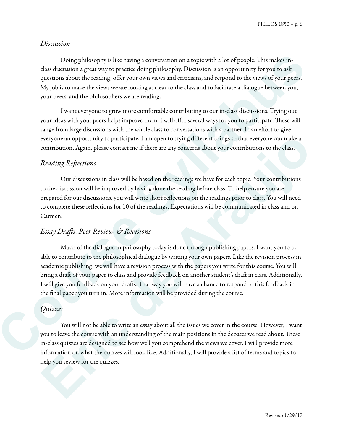#### *Discussion*

Doing philosophy is like having a conversation on a topic with a lot of people. This makes inclass discussion a great way to practice doing philosophy. Discussion is an opportunity for you to ask questions about the reading, offer your own views and criticisms, and respond to the views of your peers. My job is to make the views we are looking at clear to the class and to facilitate a dialogue between you, your peers, and the philosophers we are reading.

 I want everyone to grow more comfortable contributing to our in-class discussions. Trying out your ideas with your peers helps improve them. I will offer several ways for you to participate. These will range from large discussions with the whole class to conversations with a partner. In an effort to give everyone an opportunity to participate, I am open to trying different things so that everyone can make a contribution. Again, please contact me if there are any concerns about your contributions to the class.

#### *Reading Re*fl*ections*

 Our discussions in class will be based on the readings we have for each topic. Your contributions to the discussion will be improved by having done the reading before class. To help ensure you are prepared for our discussions, you will write short reflections on the readings prior to class. You will need to complete these reflections for 10 of the readings. Expectations will be communicated in class and on Carmen.

#### *Essay Dra*f*s, Peer Review, & Revisions*

Much of the dialogue in philosophy today is done through publishing papers. I want you to be able to contribute to the philosophical dialogue by writing your own papers. Like the revision process in academic publishing, we will have a revision process with the papers you write for this course. You will bring a draft of your paper to class and provide feedback on another student's draft in class. Additionally, I will give you feedback on your drafts. That way you will have a chance to respond to this feedback in the final paper you turn in. More information will be provided during the course. Doing philosophy is like having a conversation on a topic with a lot of people. This makes the districted size that set a preservation on a topic with a lot of people. This makes the questions about the rading, of the year everyone an opportunity to participate, I am open to trying different things so that everyone can make a<br>contribution. Again, please contact me if there are any concerns about your contributions to the class.<br> **Erading Ref** 

#### *Quizzes*

You will not be able to write an essay about all the issues we cover in the course. However, I want you to leave the course with an understanding of the main positions in the debates we read about. These in-class quizzes are designed to see how well you comprehend the views we cover. I will provide more information on what the quizzes will look like. Additionally, I will provide a list of terms and topics to help you review for the quizzes.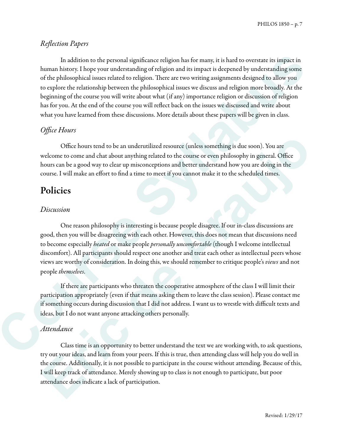PHILOS 1850 – p. 7

#### *Re*fl*ection Papers*

 In addition to the personal significance religion has for many, it is hard to overstate its impact in human history. I hope your understanding of religion and its impact is deepened by understanding some of the philosophical issues related to religion. There are two writing assignments designed to allow you to explore the relationship between the philosophical issues we discuss and religion more broadly. At the beginning of the course you will write about what (if any) importance religion or discussion of religion has for you. At the end of the course you will reflect back on the issues we discussed and write about what you have learned from these discussions. More details about these papers will be given in class. In addition to the personal significance religion has for many, it is hard to overtune its impact in the<br>non-narrow histosy. However, the personal strength of religion and is time<br>personal by understanding forms of the cou

## *O*ffi*ce Hours*

 Office hours tend to be an underutilized resource (unless something is due soon). You are welcome to come and chat about anything related to the course or even philosophy in general. Office hours can be a good way to clear up misconceptions and better understand how you are doing in the course. I will make an effort to find a time to meet if you cannot make it to the scheduled times.

## Policies

#### *Discussion*

 One reason philosophy is interesting is because people disagree. If our in-class discussions are good, then you will be disagreeing with each other. However, this does not mean that discussions need to become especially *heated* or make people *personally uncomfortable* (though I welcome intellectual discomfort). All participants should respect one another and treat each other as intellectual peers whose views are worthy of consideration. In doing this, we should remember to critique people's *views* and not people *themselves*. Office hours tend to be an undervuilized resource (unless something is due soon). You are welcome to come and chat about anything related to the course or even philosophy in general. Office hours can be a good way to clear

 If there are participants who threaten the cooperative atmosphere of the class I will limit their participation appropriately (even if that means asking them to leave the class session). Please contact me if something occurs during discussion that I did not address. I want us to wrestle with difficult texts and ideas, but I do not want anyone attacking others personally.

## *Attendance*

 Class time is an opportunity to better understand the text we are working with, to ask questions, try out your ideas, and learn from your peers. If this is true, then attending class will help you do well in the course. Additionally, it is not possible to participate in the course without attending. Because of this, I will keep track of attendance. Merely showing up to class is not enough to participate, but poor attendance does indicate a lack of participation.